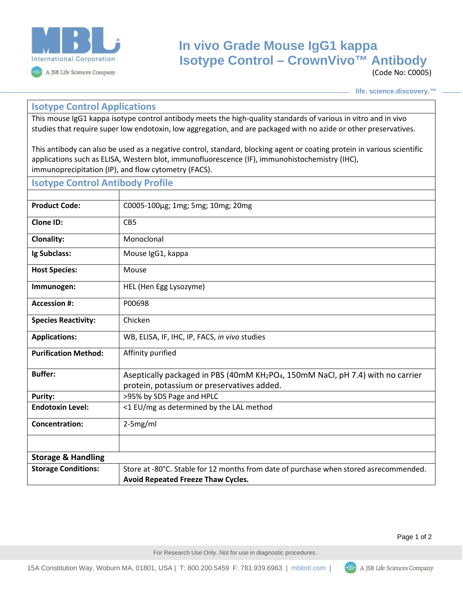

## **In vivo Grade Mouse IgG1 kappa Isotype Control – CrownVivo™ Antibody**

(Code No: C0005)

**life. science.discovery.™**

## **Isotype Control Applications**

This mouse IgG1 kappa isotype control antibody meets the high-quality standards of various in vitro and in vivo studies that require super low endotoxin, low aggregation, and are packaged with no azide or other preservatives.

This antibody can also be used as a negative control, standard, blocking agent or coating protein in various scientific applications such as ELISA, Western blot, immunofluorescence (IF), immunohistochemistry (IHC), immunoprecipitation (IP), and flow cytometry (FACS).

| <b>Isotype Control Antibody Profile</b> |                                                                                                                                                       |
|-----------------------------------------|-------------------------------------------------------------------------------------------------------------------------------------------------------|
|                                         |                                                                                                                                                       |
| <b>Product Code:</b>                    | C0005-100µg; 1mg; 5mg; 10mg; 20mg                                                                                                                     |
| <b>Clone ID:</b>                        | CB5                                                                                                                                                   |
| <b>Clonality:</b>                       | Monoclonal                                                                                                                                            |
| Ig Subclass:                            | Mouse IgG1, kappa                                                                                                                                     |
| <b>Host Species:</b>                    | Mouse                                                                                                                                                 |
| Immunogen:                              | HEL (Hen Egg Lysozyme)                                                                                                                                |
| <b>Accession #:</b>                     | P00698                                                                                                                                                |
| <b>Species Reactivity:</b>              | Chicken                                                                                                                                               |
| <b>Applications:</b>                    | WB, ELISA, IF, IHC, IP, FACS, in vivo studies                                                                                                         |
| <b>Purification Method:</b>             | Affinity purified                                                                                                                                     |
| <b>Buffer:</b>                          | Aseptically packaged in PBS (40mM KH <sub>2</sub> PO <sub>4</sub> , 150mM NaCl, pH 7.4) with no carrier<br>protein, potassium or preservatives added. |
| <b>Purity:</b>                          | >95% by SDS Page and HPLC                                                                                                                             |
| <b>Endotoxin Level:</b>                 | <1 EU/mg as determined by the LAL method                                                                                                              |
| <b>Concentration:</b>                   | $2-5mg/ml$                                                                                                                                            |
|                                         |                                                                                                                                                       |
| <b>Storage &amp; Handling</b>           |                                                                                                                                                       |
| <b>Storage Conditions:</b>              | Store at -80°C. Stable for 12 months from date of purchase when stored asrecommended.<br>Avoid Repeated Freeze Thaw Cycles.                           |